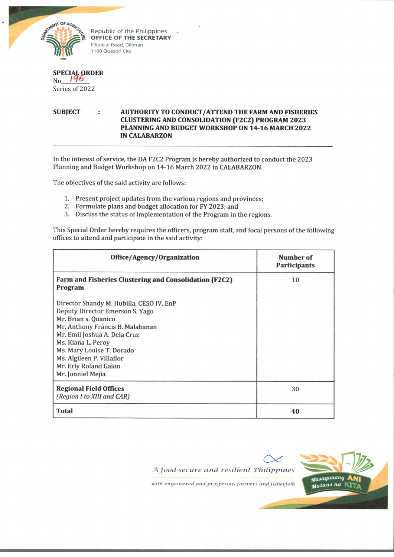

Republic of the Philippines **OFFICE OF THE SECRETARY Elliptical Road, Diliman 1100 Quezon City**

| SPECIAL ORDER<br>No 195 |
|-------------------------|
| Series of 2022          |

**SUBJECT : AUTHORITY TO CONDUCT/ATTEND THE FARM AND FISHERIES CLUSTERING AND CONSOLIDATION (F2C2) PROGRAM 2023 PLANNING AND BUDGET WORKSHOP ON 14-16 MARCH 2022 IN CALABARZON**

In the interest of service, the DA F2C2 Program is hereby authorized to conduct the 2023 Planning and Budget Workshop on 14-16 March 2022 in CALABARZON.

The objectives of the said activity are follows:

- 1. Present project updates from the various regions and provinces;
- 2. Formulate plans and budget allocation for FY 2023; and
- 3. Discuss the status of implementation of the Program in the regions.

This Special Order hereby requires the officers, program staff, and focal persons of the following offices to attend and participate in the said activity:

| Office/Agency/Organization                                                                                                                                                                                                                                                                            | Number of<br><b>Participants</b> |
|-------------------------------------------------------------------------------------------------------------------------------------------------------------------------------------------------------------------------------------------------------------------------------------------------------|----------------------------------|
| Farm and Fisheries Clustering and Consolidation (F2C2)<br>Program                                                                                                                                                                                                                                     | 10                               |
| Director Shandy M. Hubilla, CESO IV, EnP<br>Deputy Director Emerson S. Yago<br>Mr. Brian s. Quanico<br>Mr. Anthony Francis B. Malabanan<br>Mr. Emil Joshua A. Dela Cruz<br>Ms. Kiana L. Peroy<br>Ms. Mary Louise T. Dorado<br>Ms. Algileen P. Villaflor<br>Mr. Erly Roland Galon<br>Mr. Jonniel Mejia |                                  |
| <b>Regional Field Offices</b><br>(Region I to XIII and CAR)                                                                                                                                                                                                                                           | 30                               |
| <b>Total</b>                                                                                                                                                                                                                                                                                          | 40                               |



with empowered and prosperous farmers and fisherfolk